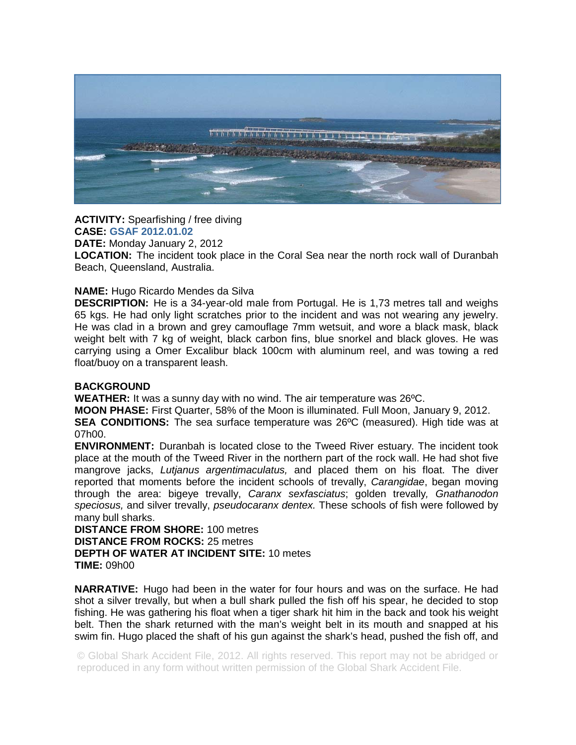

**ACTIVITY:** Spearfishing / free diving **CASE: GSAF 2012.01.02**

**DATE:** Monday January 2, 2012

**LOCATION:** The incident took place in the Coral Sea near the north rock wall of Duranbah Beach, Queensland, Australia.

## **NAME:** Hugo Ricardo Mendes da Silva

**DESCRIPTION:** He is a 34-year-old male from Portugal. He is 1,73 metres tall and weighs 65 kgs. He had only light scratches prior to the incident and was not wearing any jewelry. He was clad in a brown and grey camouflage 7mm wetsuit, and wore a black mask, black weight belt with 7 kg of weight, black carbon fins, blue snorkel and black gloves. He was carrying using a Omer Excalibur black 100cm with aluminum reel, and was towing a red float/buoy on a transparent leash.

## **BACKGROUND**

**WEATHER:** It was a sunny day with no wind. The air temperature was 26ºC.

**MOON PHASE:** First Quarter, 58% of the Moon is illuminated. Full Moon, January 9, 2012. **SEA CONDITIONS:** The sea surface temperature was 26ºC (measured). High tide was at 07h00.

**ENVIRONMENT:** Duranbah is located close to the Tweed River estuary. The incident took place at the mouth of the Tweed River in the northern part of the rock wall. He had shot five mangrove jacks, *Lutjanus argentimaculatus,* and placed them on his float. The diver reported that moments before the incident schools of trevally, *Carangidae*, began moving through the area: bigeye trevally, *Caranx sexfasciatus*; golden trevally*, Gnathanodon speciosus,* and silver trevally, *pseudocaranx dentex.* These schools of fish were followed by many bull sharks.

**DISTANCE FROM SHORE:** 100 metres **DISTANCE FROM ROCKS:** 25 metres **DEPTH OF WATER AT INCIDENT SITE:** 10 metes **TIME:** 09h00

**NARRATIVE:** Hugo had been in the water for four hours and was on the surface. He had shot a silver trevally, but when a bull shark pulled the fish off his spear, he decided to stop fishing. He was gathering his float when a tiger shark hit him in the back and took his weight belt. Then the shark returned with the man's weight belt in its mouth and snapped at his swim fin. Hugo placed the shaft of his gun against the shark's head, pushed the fish off, and

© Global Shark Accident File, 2012. All rights reserved. This report may not be abridged or reproduced in any form without written permission of the Global Shark Accident File.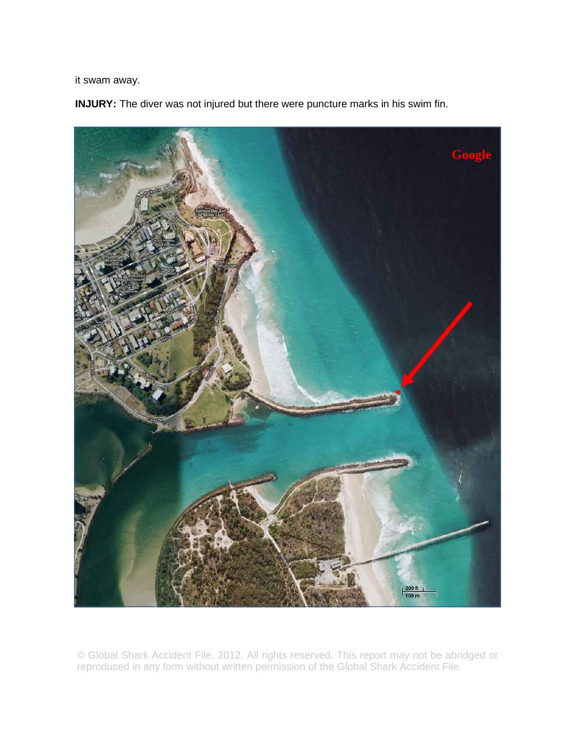it swam away.

**INJURY:** The diver was not injured but there were puncture marks in his swim fin.



© Global Shark Accident File, 2012. All rights reserved. This report may not be abridged or reproduced in any form without written permission of the Global Shark Accident File.